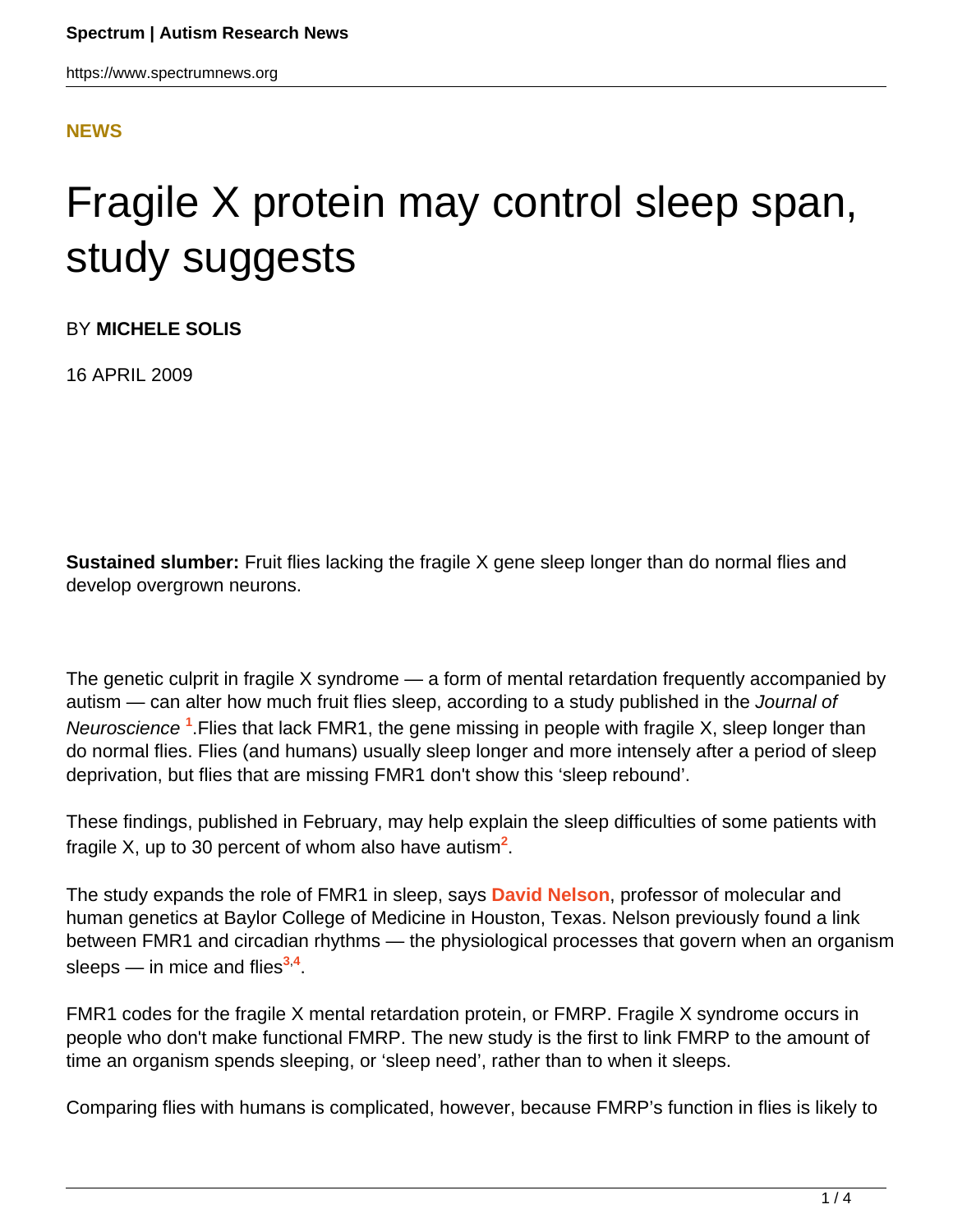### **[NEWS](HTTPS://WWW.SPECTRUMNEWS.ORG/NEWS/)**

# Fragile X protein may control sleep span, study suggests

BY **MICHELE SOLIS**

16 APRIL 2009

**Sustained slumber:** Fruit flies lacking the fragile X gene sleep longer than do normal flies and develop overgrown neurons.

The genetic culprit in fragile X syndrome — a form of mental retardation frequently accompanied by autism — can alter how much fruit flies sleep, according to a study published in the *Journal of* Neuroscience <sup>1</sup>. Flies that lack FMR1, the gene missing in people with fragile X, sleep longer than do normal flies. Flies (and humans) usually sleep longer and more intensely after a period of sleep deprivation, but flies that are missing FMR1 don't show this 'sleep rebound'.

These findings, published in February, may help explain the sleep difficulties of some patients with fragile X, up to 30 percent of whom also have autism**<sup>2</sup>** .

The study expands the role of FMR1 in sleep, says **[David Nelson](http://www.bcm.edu/genetics/facultyaz/nelson.html)**, professor of molecular and human genetics at Baylor College of Medicine in Houston, Texas. Nelson previously found a link between FMR1 and circadian rhythms — the physiological processes that govern when an organism sleeps — in mice and flies**<sup>3</sup>**,**<sup>4</sup>** .

FMR1 codes for the fragile X mental retardation protein, or FMRP. Fragile X syndrome occurs in people who don't make functional FMRP. The new study is the first to link FMRP to the amount of time an organism spends sleeping, or 'sleep need', rather than to when it sleeps.

Comparing flies with humans is complicated, however, because FMRP's function in flies is likely to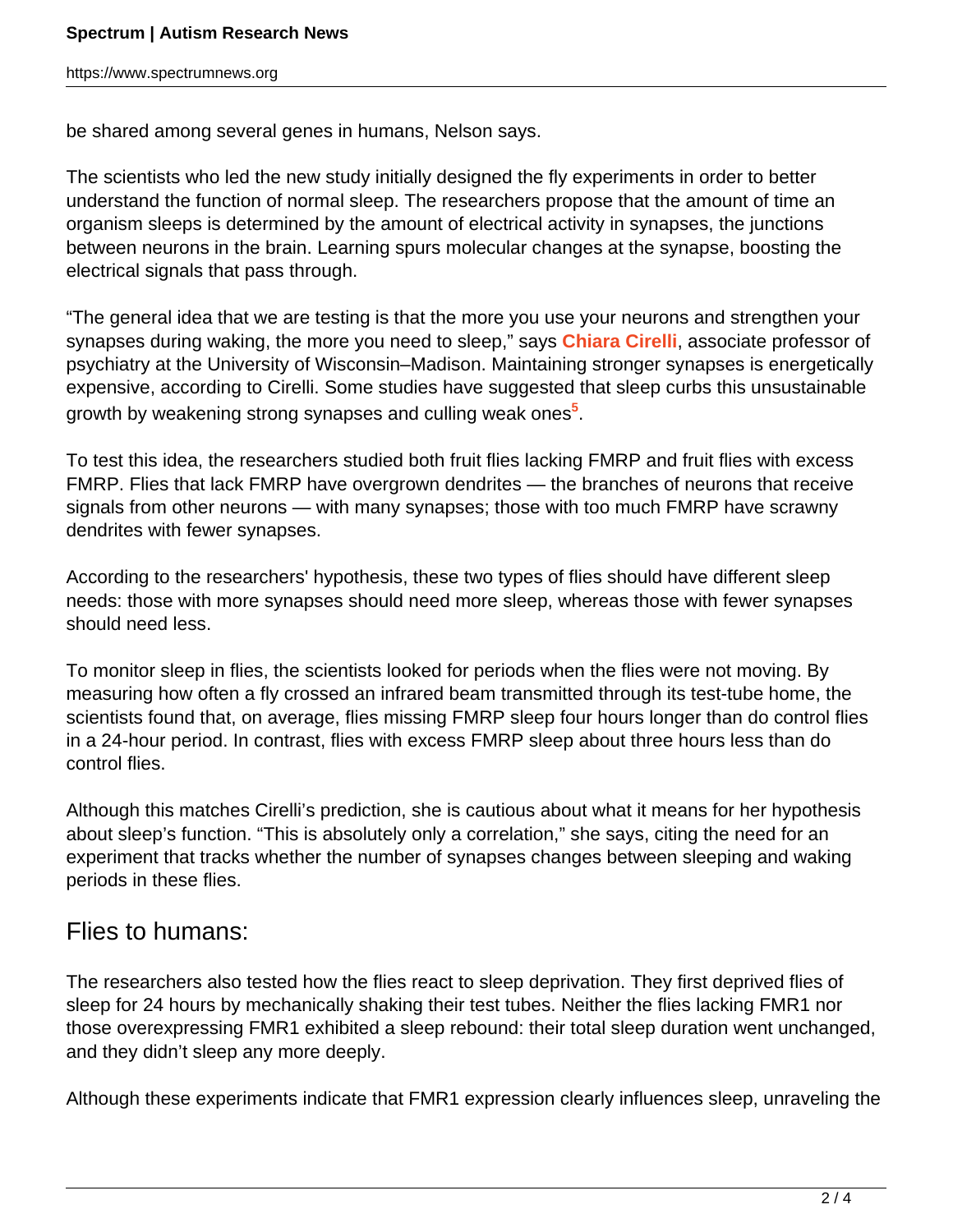be shared among several genes in humans, Nelson says.

The scientists who led the new study initially designed the fly experiments in order to better understand the function of normal sleep. The researchers propose that the amount of time an organism sleeps is determined by the amount of electrical activity in synapses, the junctions between neurons in the brain. Learning spurs molecular changes at the synapse, boosting the electrical signals that pass through.

"The general idea that we are testing is that the more you use your neurons and strengthen your synapses during waking, the more you need to sleep," says **[Chiara Cirelli](http://www.sleepconsciousness.org/People/ChiaraCirelli.html)**, associate professor of psychiatry at the University of Wisconsin–Madison. Maintaining stronger synapses is energetically expensive, according to Cirelli. Some studies have suggested that sleep curbs this unsustainable growth by weakening strong synapses and culling weak ones**<sup>5</sup>** .

To test this idea, the researchers studied both fruit flies lacking FMRP and fruit flies with excess FMRP. Flies that lack FMRP have overgrown dendrites — the branches of neurons that receive signals from other neurons — with many synapses; those with too much FMRP have scrawny dendrites with fewer synapses.

According to the researchers' hypothesis, these two types of flies should have different sleep needs: those with more synapses should need more sleep, whereas those with fewer synapses should need less.

To monitor sleep in flies, the scientists looked for periods when the flies were not moving. By measuring how often a fly crossed an infrared beam transmitted through its test-tube home, the scientists found that, on average, flies missing FMRP sleep four hours longer than do control flies in a 24-hour period. In contrast, flies with excess FMRP sleep about three hours less than do control flies.

Although this matches Cirelli's prediction, she is cautious about what it means for her hypothesis about sleep's function. "This is absolutely only a correlation," she says, citing the need for an experiment that tracks whether the number of synapses changes between sleeping and waking periods in these flies.

## Flies to humans:

The researchers also tested how the flies react to sleep deprivation. They first deprived flies of sleep for 24 hours by mechanically shaking their test tubes. Neither the flies lacking FMR1 nor those overexpressing FMR1 exhibited a sleep rebound: their total sleep duration went unchanged, and they didn't sleep any more deeply.

Although these experiments indicate that FMR1 expression clearly influences sleep, unraveling the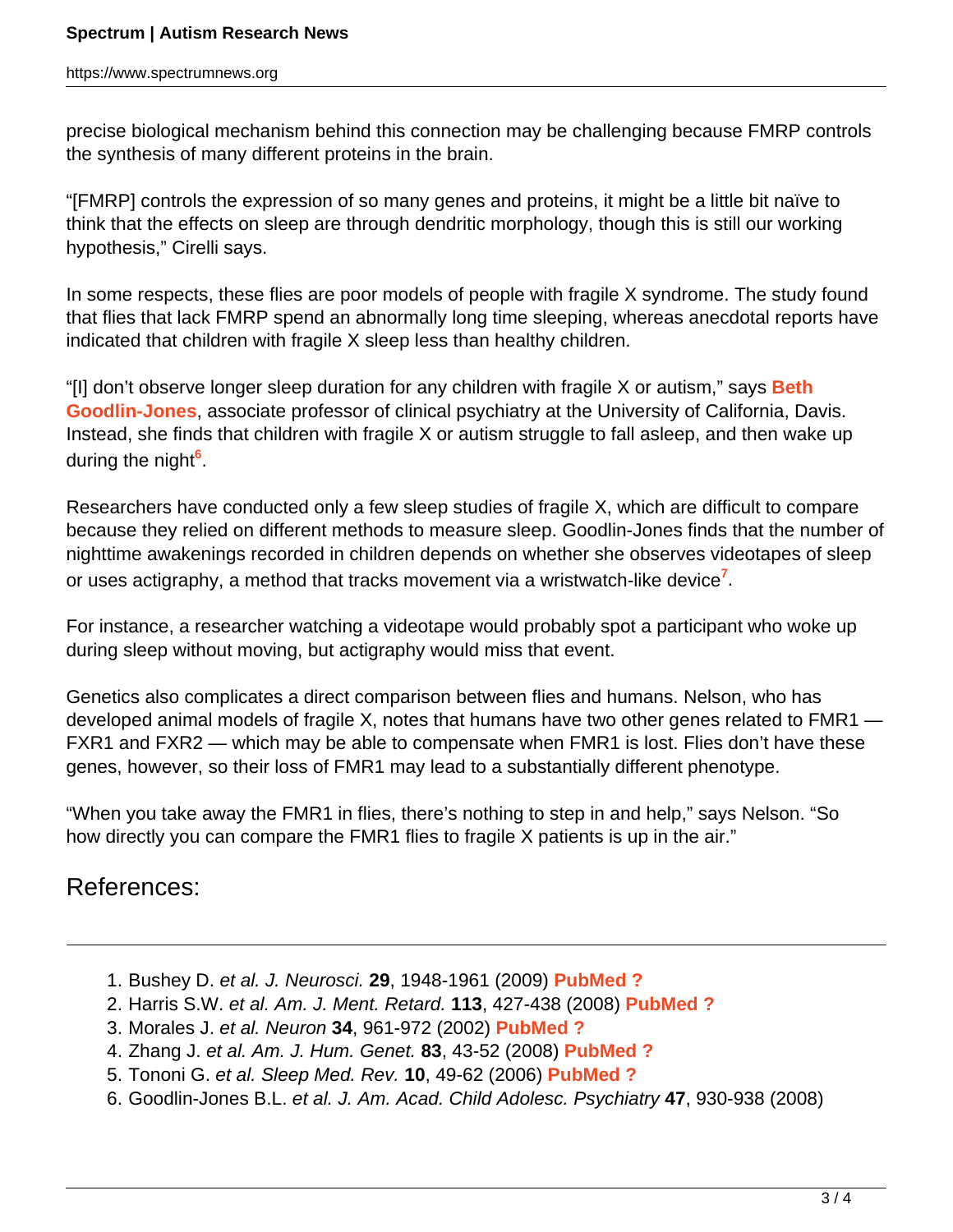precise biological mechanism behind this connection may be challenging because FMRP controls the synthesis of many different proteins in the brain.

"[FMRP] controls the expression of so many genes and proteins, it might be a little bit naïve to think that the effects on sleep are through dendritic morphology, though this is still our working hypothesis," Cirelli says.

In some respects, these flies are poor models of people with fragile X syndrome. The study found that flies that lack FMRP spend an abnormally long time sleeping, whereas anecdotal reports have indicated that children with fragile X sleep less than healthy children.

"[I] don't observe longer sleep duration for any children with fragile X or autism," says **[Beth](http://www.ucdmc.ucdavis.edu/psychiatry/ourteam/faculty/goodlin-jones.html) [Goodlin-Jones](http://www.ucdmc.ucdavis.edu/psychiatry/ourteam/faculty/goodlin-jones.html)**, associate professor of clinical psychiatry at the University of California, Davis. Instead, she finds that children with fragile X or autism struggle to fall asleep, and then wake up during the night**<sup>6</sup>** .

Researchers have conducted only a few sleep studies of fragile X, which are difficult to compare because they relied on different methods to measure sleep. Goodlin-Jones finds that the number of nighttime awakenings recorded in children depends on whether she observes videotapes of sleep or uses actigraphy, a method that tracks movement via a wristwatch-like device**<sup>7</sup>** .

For instance, a researcher watching a videotape would probably spot a participant who woke up during sleep without moving, but actigraphy would miss that event.

Genetics also complicates a direct comparison between flies and humans. Nelson, who has developed animal models of fragile X, notes that humans have two other genes related to FMR1 — FXR1 and FXR2 — which may be able to compensate when FMR1 is lost. Flies don't have these genes, however, so their loss of FMR1 may lead to a substantially different phenotype.

"When you take away the FMR1 in flies, there's nothing to step in and help," says Nelson. "So how directly you can compare the FMR1 flies to fragile X patients is up in the air."

## References:

- 1. Bushey D. et al. J. Neurosci. **29**, 1948-1961 (2009) **[PubMed](http://www.ncbi.nlm.nih.gov/pubmed/19228950) ?**
- 2. Harris S.W. et al. Am. J. Ment. Retard. **113**, 427-438 (2008) **[PubMed](http://www.ncbi.nlm.nih.gov/pubmed/19127654) ?**
- 3. Morales J. et al. Neuron **34**, 961-972 (2002) **[PubMed](http://www.ncbi.nlm.nih.gov/pubmed/12086643) ?**
- 4. Zhang J. et al. Am. J. Hum. Genet. **83**, 43-52 (2008) **[PubMed](http://www.ncbi.nlm.nih.gov/pubmed/18589395) ?**
- 5. Tononi G. et al. Sleep Med. Rev. **10**, 49-62 (2006) **[PubMed](http://www.ncbi.nlm.nih.gov/pubmed/16376591) ?**
- 6. Goodlin-Jones B.L. et al. J. Am. Acad. Child Adolesc. Psychiatry **47**, 930-938 (2008)